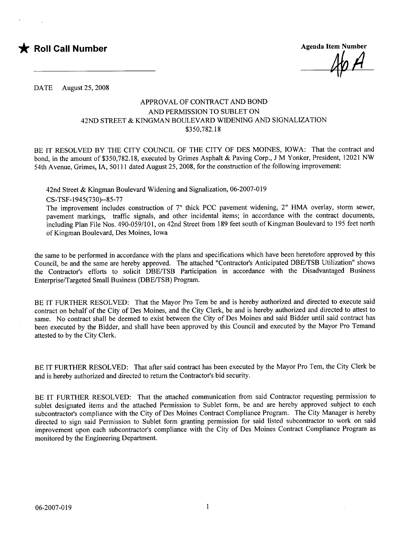

DATE August 25, 2008

## APPROVAL OF CONTRACT AND BOND AND PERMISSION TO SUBLET ON 42ND STREET & KINGMAN BOULEVARD WIDENING AND SIGNALIZATION \$350,782.18

BE IT RESOLVED BY THE CITY COUNCIL OF THE CITY OF DES MOINS, IOWA: That the contract and bond, in the amount of \$350,782.18, executed by Grimes Asphalt & Paving Corp., J M Yonker, President, 12021 NW 54th Avenue, Grimes, lA, 50111 dated August 25, 2008, for the construction of the following improvement:

42nd Street & Kingman Boulevard Widening and Signalization, 06-2007-019

CS- TSF - 1 945(730)--85-77

The improvement includes construction of 7" thick PCC pavement widening, 2" HMA overlay, storm sewer, pavement markings, traffic signals, and other incidental items; in accordance with the contract documents, including Plan File Nos. 490-059/101, on 42nd Street from 189 feet south of Kingman Boulevard to 195 feet north of Kingman Boulevard, Des Moines, Iowa

the same to be performed in accordance with the plans and specifications which have been heretofore approved by this Council, be and the same are hereby approved. The attached "Contractor's Anticipated DBErrSB Utilzation" shows the Contractor's efforts to solicit DBE/TSB Participation in accordance with the Disadvantaged Business Enterprise/Targeted Small Business (DBE/TSB) Program.

BE IT FURTHER RESOLVED: That the Mayor Pro Tem be and is hereby authorized and directed to execute said contract on behalf of the City of Des Moines, and the City Clerk, be and is hereby authorized and directed to attest to same. No contract shall be deemed to exist between the City of Des Moines and said Bidder until said contract has been executed by the Bidder, and shall have been approved by this Council and executed by the Mayor Pro Temand attested to by the City Clerk.

BE IT FURTHER RESOLVED: That after said contract has been executed by the Mayor Pro Tem, the City Clerk be and is hereby authorized and directed to return the Contractor's bid security.

BE IT FURTHER RESOLVED: That the attached communication from said Contractor requesting permission to sublet designated items and the attached Permission to Sublet form, be and are hereby approved subject to each subcontractor's compliance with the City of Des Moines Contract Compliance Program. The City Manager is hereby directed to sign said Permission to Sublet form granting permission for said listed subcontractor to work on said improvement upon each subcontractor's compliance with the City of Des Moines Contract Compliance Program as monitored by the Engineering Department.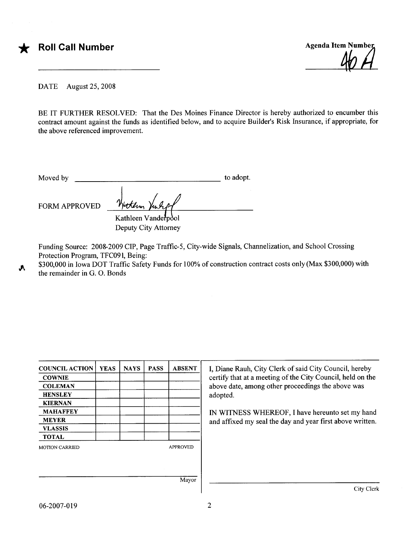Agenda Item Number <u>40</u>

DATE August 25, 2008

BE IT FURTHER RESOLVED: That the Des Moines Finance Director is hereby authorized to encumber this contract amount against the funds as identified below, and to acquire Builder's Risk Insurance, if appropriate, for the above referenced improvement.

| Moved by             |                                             | to adopt. |
|----------------------|---------------------------------------------|-----------|
| <b>FORM APPROVED</b> | Hotkern Vanligt                             |           |
|                      | Kathleen Vanderpool<br>Deputy City Attorney |           |

Funding Source: 2008-2009 CIP, Page Traffic-5, City-wide Signals, Channelization, and School Crossing Protection Program, TFC091, Being:

\$300,000 in Iowa DOT Traffic Safety Funds for 100% of construction contract costs only (Max \$300,000) with the remainder in G. O. Bonds .A

| <b>COUNCIL ACTION</b> | <b>YEAS</b> | <b>NAYS</b> | <b>PASS</b> | <b>ABSENT</b>   | I, Diane Rauh, City Clerk of said City Council, hereby                                                          |  |  |  |
|-----------------------|-------------|-------------|-------------|-----------------|-----------------------------------------------------------------------------------------------------------------|--|--|--|
| <b>COWNIE</b>         |             |             |             |                 | certify that at a meeting of the City Council, held on the<br>above date, among other proceedings the above was |  |  |  |
| <b>COLEMAN</b>        |             |             |             |                 |                                                                                                                 |  |  |  |
| <b>HENSLEY</b>        |             |             |             |                 | adopted.                                                                                                        |  |  |  |
| <b>KIERNAN</b>        |             |             |             |                 |                                                                                                                 |  |  |  |
| <b>MAHAFFEY</b>       |             |             |             |                 | IN WITNESS WHEREOF, I have hereunto set my hand                                                                 |  |  |  |
| <b>MEYER</b>          |             |             |             |                 | and affixed my seal the day and year first above written.                                                       |  |  |  |
| <b>VLASSIS</b>        |             |             |             |                 |                                                                                                                 |  |  |  |
| <b>TOTAL</b>          |             |             |             |                 |                                                                                                                 |  |  |  |
| <b>MOTION CARRIED</b> |             |             |             | <b>APPROVED</b> |                                                                                                                 |  |  |  |
|                       |             |             |             |                 |                                                                                                                 |  |  |  |
|                       |             |             |             |                 |                                                                                                                 |  |  |  |
|                       |             |             |             |                 |                                                                                                                 |  |  |  |

City Clerk